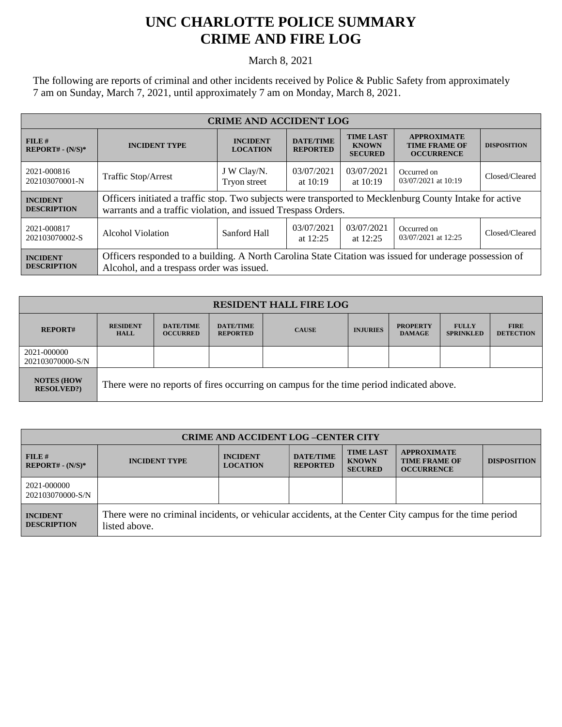## **UNC CHARLOTTE POLICE SUMMARY CRIME AND FIRE LOG**

March 8, 2021

The following are reports of criminal and other incidents received by Police & Public Safety from approximately 7 am on Sunday, March 7, 2021, until approximately 7 am on Monday, March 8, 2021.

| <b>CRIME AND ACCIDENT LOG</b>         |                                                                                                                                                                           |                                    |                                     |                                                    |                                                                 |                    |  |
|---------------------------------------|---------------------------------------------------------------------------------------------------------------------------------------------------------------------------|------------------------------------|-------------------------------------|----------------------------------------------------|-----------------------------------------------------------------|--------------------|--|
| FILE#<br>$REPORT# - (N/S)*$           | <b>INCIDENT TYPE</b>                                                                                                                                                      | <b>INCIDENT</b><br><b>LOCATION</b> | <b>DATE/TIME</b><br><b>REPORTED</b> | <b>TIME LAST</b><br><b>KNOWN</b><br><b>SECURED</b> | <b>APPROXIMATE</b><br><b>TIME FRAME OF</b><br><b>OCCURRENCE</b> | <b>DISPOSITION</b> |  |
| 2021-000816<br>202103070001-N         | <b>Traffic Stop/Arrest</b>                                                                                                                                                | J W Clay/N.<br>Tryon street        | 03/07/2021<br>at $10:19$            | 03/07/2021<br>at 10:19                             | Occurred on<br>03/07/2021 at 10:19                              | Closed/Cleared     |  |
| <b>INCIDENT</b><br><b>DESCRIPTION</b> | Officers initiated a traffic stop. Two subjects were transported to Mecklenburg County Intake for active<br>warrants and a traffic violation, and issued Trespass Orders. |                                    |                                     |                                                    |                                                                 |                    |  |
| 2021-000817<br>202103070002-S         | Alcohol Violation                                                                                                                                                         | Sanford Hall                       | 03/07/2021<br>at $12:25$            | 03/07/2021<br>at $12:25$                           | Occurred on<br>03/07/2021 at 12:25                              | Closed/Cleared     |  |
| <b>INCIDENT</b><br><b>DESCRIPTION</b> | Officers responded to a building. A North Carolina State Citation was issued for underage possession of<br>Alcohol, and a trespass order was issued.                      |                                    |                                     |                                                    |                                                                 |                    |  |

| <b>RESIDENT HALL FIRE LOG</b>           |                                                                                         |                                     |                                     |              |                 |                                  |                                  |                                 |
|-----------------------------------------|-----------------------------------------------------------------------------------------|-------------------------------------|-------------------------------------|--------------|-----------------|----------------------------------|----------------------------------|---------------------------------|
| <b>REPORT#</b>                          | <b>RESIDENT</b><br><b>HALL</b>                                                          | <b>DATE/TIME</b><br><b>OCCURRED</b> | <b>DATE/TIME</b><br><b>REPORTED</b> | <b>CAUSE</b> | <b>INJURIES</b> | <b>PROPERTY</b><br><b>DAMAGE</b> | <b>FULLY</b><br><b>SPRINKLED</b> | <b>FIRE</b><br><b>DETECTION</b> |
| 2021-000000<br>202103070000-S/N         |                                                                                         |                                     |                                     |              |                 |                                  |                                  |                                 |
| <b>NOTES (HOW)</b><br><b>RESOLVED?)</b> | There were no reports of fires occurring on campus for the time period indicated above. |                                     |                                     |              |                 |                                  |                                  |                                 |

| <b>CRIME AND ACCIDENT LOG-CENTER CITY</b> |                                                                                                                          |                                    |                                     |                                                    |                                                                 |                    |
|-------------------------------------------|--------------------------------------------------------------------------------------------------------------------------|------------------------------------|-------------------------------------|----------------------------------------------------|-----------------------------------------------------------------|--------------------|
| $FILE$ #<br>$REPORT# - (N/S)*$            | <b>INCIDENT TYPE</b>                                                                                                     | <b>INCIDENT</b><br><b>LOCATION</b> | <b>DATE/TIME</b><br><b>REPORTED</b> | <b>TIME LAST</b><br><b>KNOWN</b><br><b>SECURED</b> | <b>APPROXIMATE</b><br><b>TIME FRAME OF</b><br><b>OCCURRENCE</b> | <b>DISPOSITION</b> |
| 2021-000000<br>202103070000-S/N           |                                                                                                                          |                                    |                                     |                                                    |                                                                 |                    |
| <b>INCIDENT</b><br><b>DESCRIPTION</b>     | There were no criminal incidents, or vehicular accidents, at the Center City campus for the time period<br>listed above. |                                    |                                     |                                                    |                                                                 |                    |